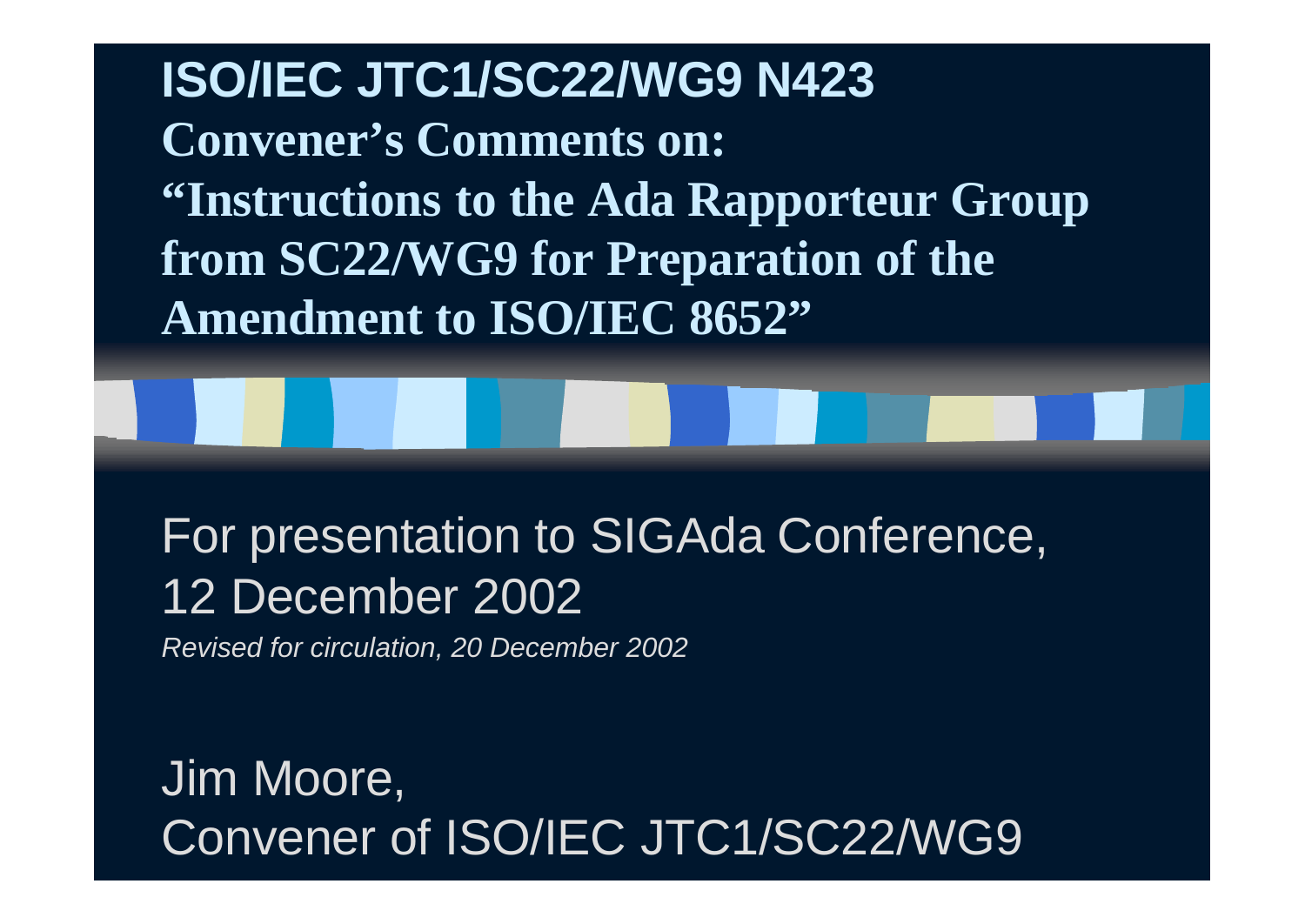**ISO/IEC JTC1/SC22/WG9 N423 Convener's Comments on: "Instructions to the Ada Rapporteur Group from SC22/WG9 for Preparation of the Amendment to ISO/IEC 8652"**

For presentation to SIGAda Conference, 12 December 2002

*Revised for circulation, 20 December 2002*

Jim Moore, Convener of ISO/IEC JTC1/SC22/WG9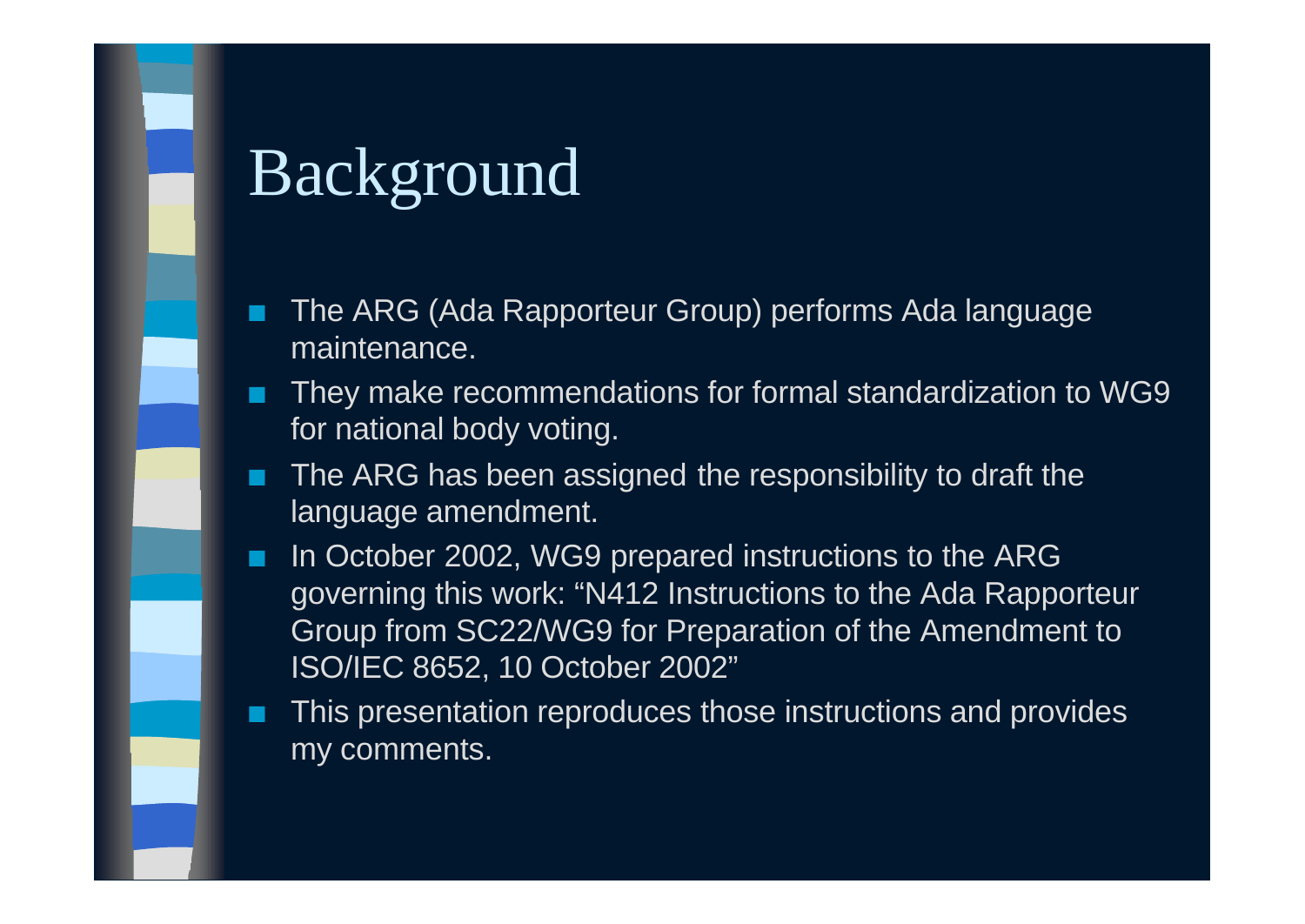### Background

- The ARG (Ada Rapporteur Group) performs Ada language maintenance.
- They make recommendations for formal standardization to WG9 for national body voting.
- **n** The ARG has been assigned the responsibility to draft the language amendment.
- In October 2002, WG9 prepared instructions to the ARG governing this work: "N412 Instructions to the Ada Rapporteur Group from SC22/WG9 for Preparation of the Amendment to ISO/IEC 8652, 10 October 2002"
- This presentation reproduces those instructions and provides my comments.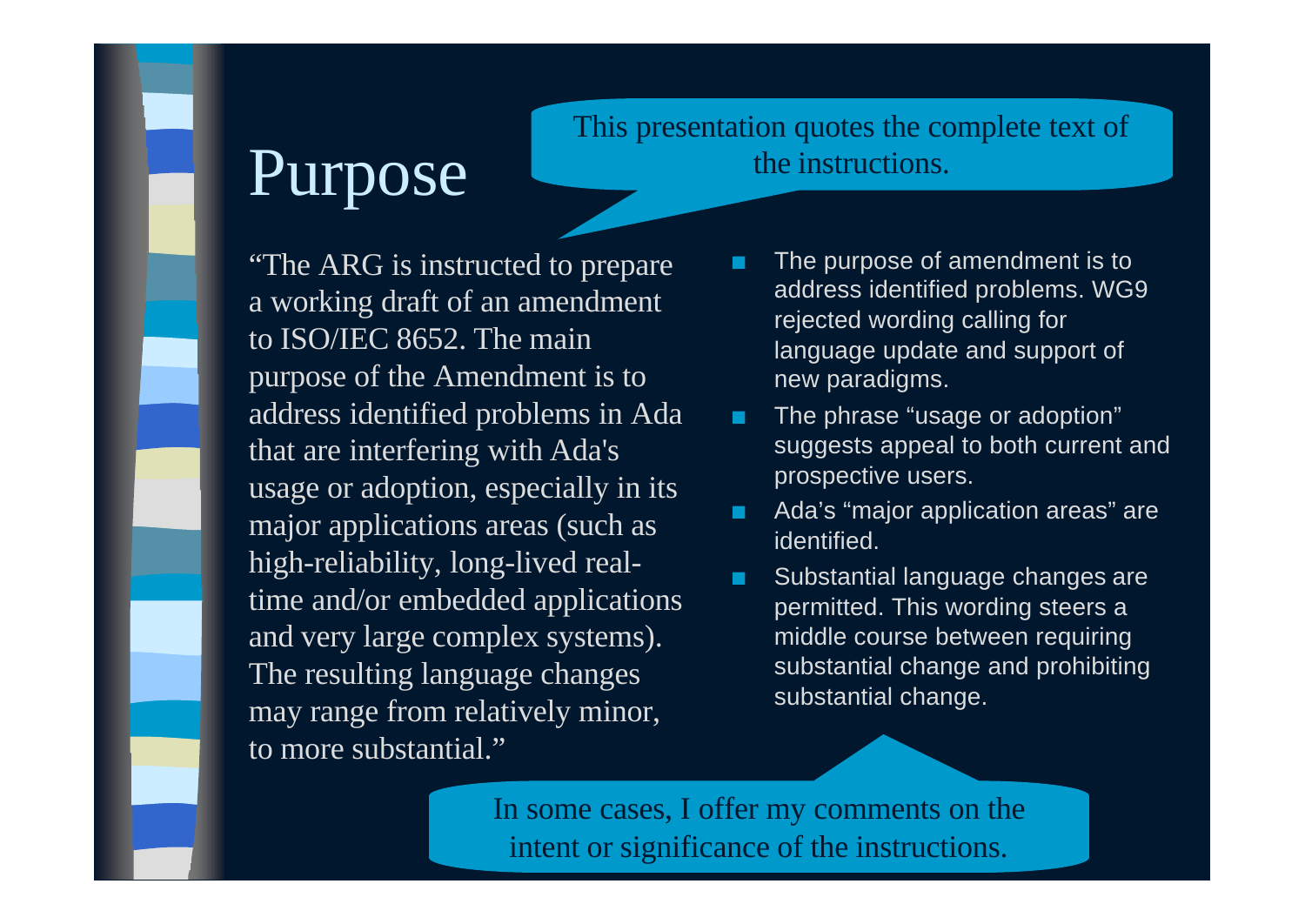#### Purpose

#### This presentation quotes the complete text of the instructions.

"The ARG is instructed to prepare a working draft of an amendment to ISO/IEC 8652. The main purpose of the Amendment is to address identified problems in Ada that are interfering with Ada's usage or adoption, especially in its major applications areas (such as high-reliability, long-lived realtime and/or embedded applications and very large complex systems). The resulting language changes may range from relatively minor, to more substantial."

- The purpose of amendment is to address identified problems. WG9 rejected wording calling for language update and support of new paradigms.
- **n** The phrase "usage or adoption" suggests appeal to both current and prospective users.
- Ada's "major application areas" are identified.
- Substantial language changes are permitted. This wording steers a middle course between requiring substantial change and prohibiting substantial change.

In some cases, I offer my comments on the intent or significance of the instructions.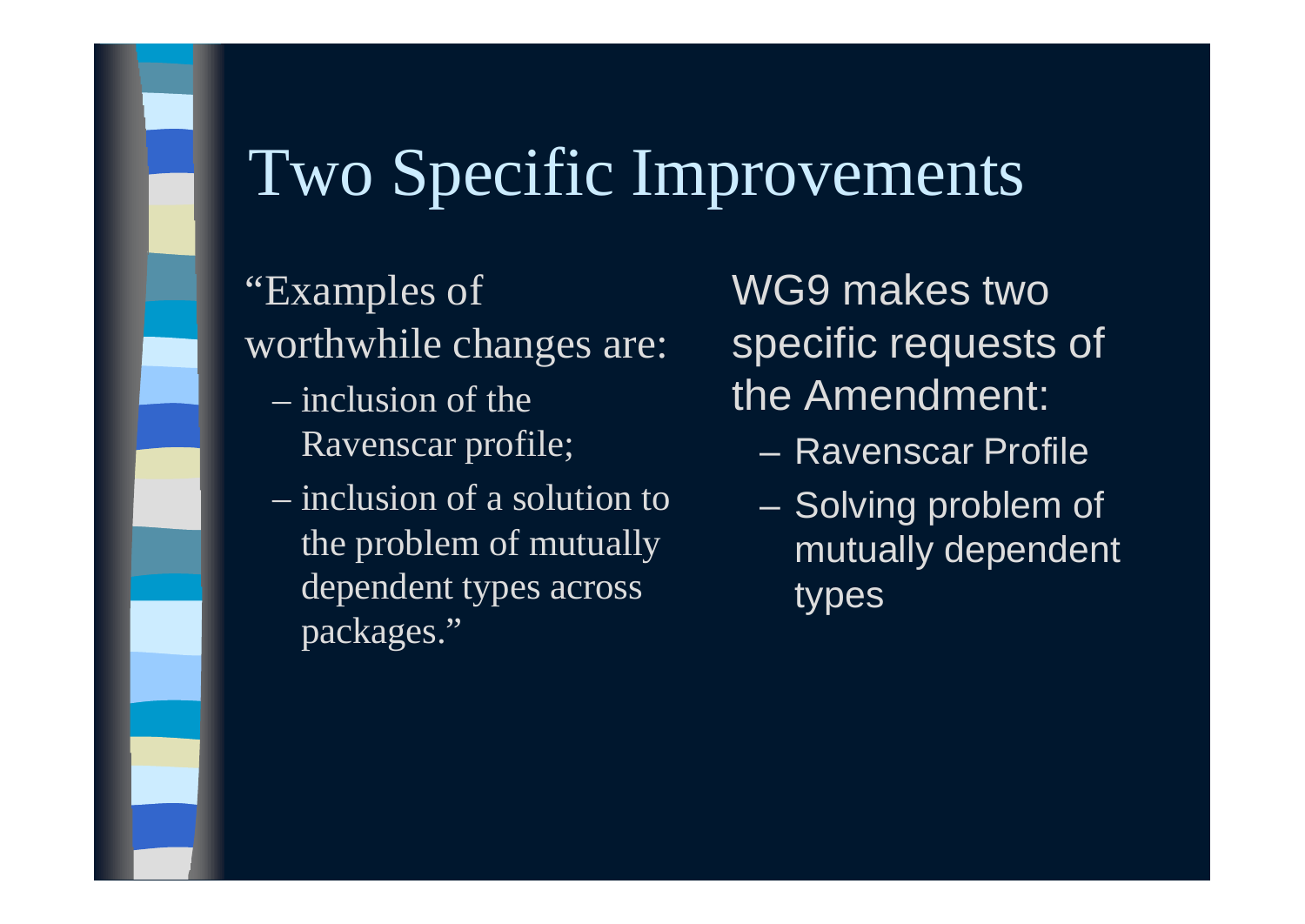### Two Specific Improvements

"Examples of worthwhile changes are:

- inclusion of the Ravenscar profile;
- inclusion of a solution to the problem of mutually dependent types across packages."

WG9 makes two specific requests of the Amendment:

- Ravenscar Profile
- Solving problem of mutually dependent types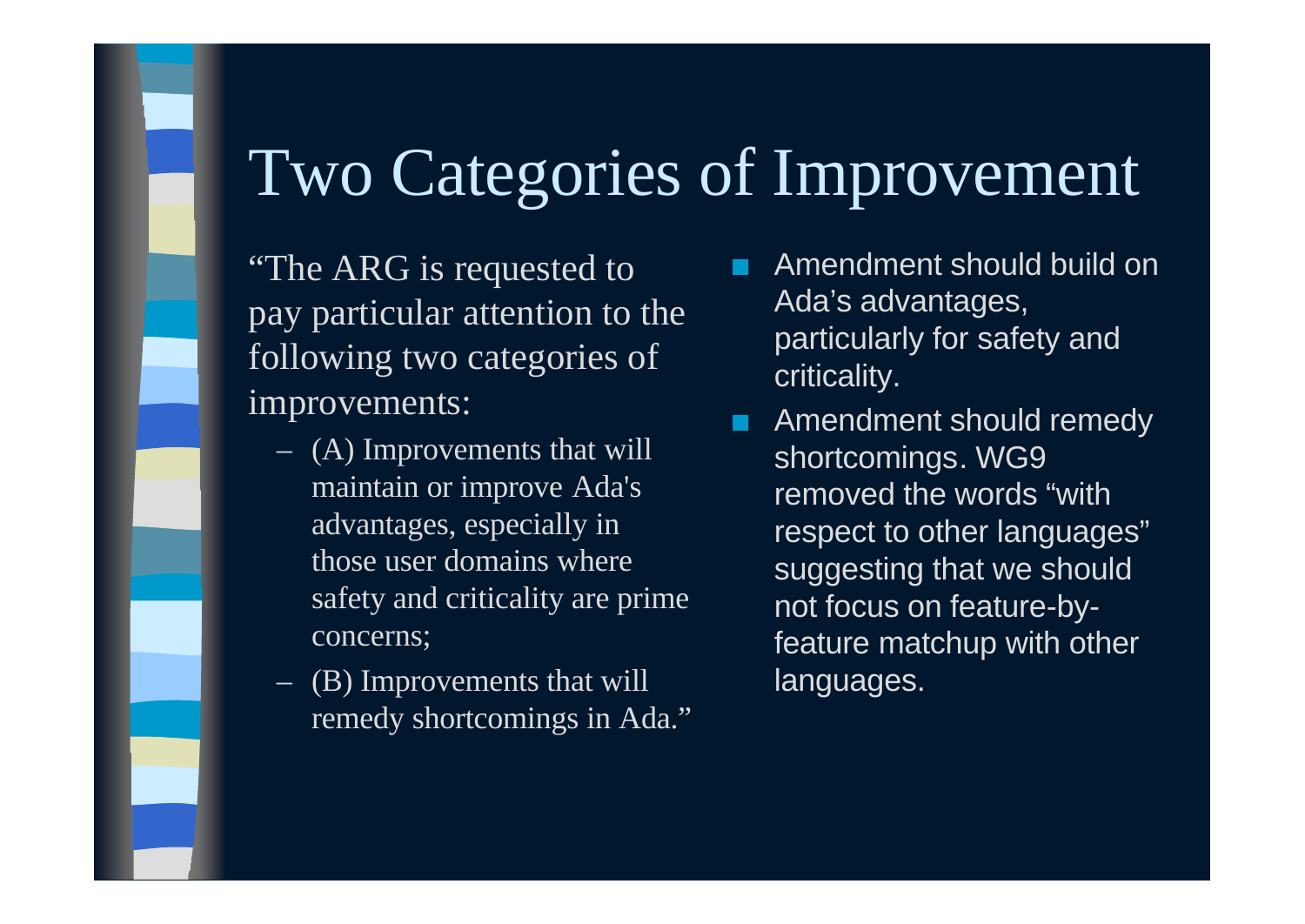## Two Categories of Improvement

"The ARG is requested to pay particular attention to the following two categories of improvements:

- (A) Improvements that will maintain or improve Ada's advantages, especially in those user domains where safety and criticality are prime concerns;
- (B) Improvements that will remedy shortcomings in Ada."
- n Amendment should build on Ada's advantages, particularly for safety and criticality.
- Amendment should remedy shortcomings. WG9 removed the words "with respect to other languages" suggesting that we should not focus on feature-byfeature matchup with other languages.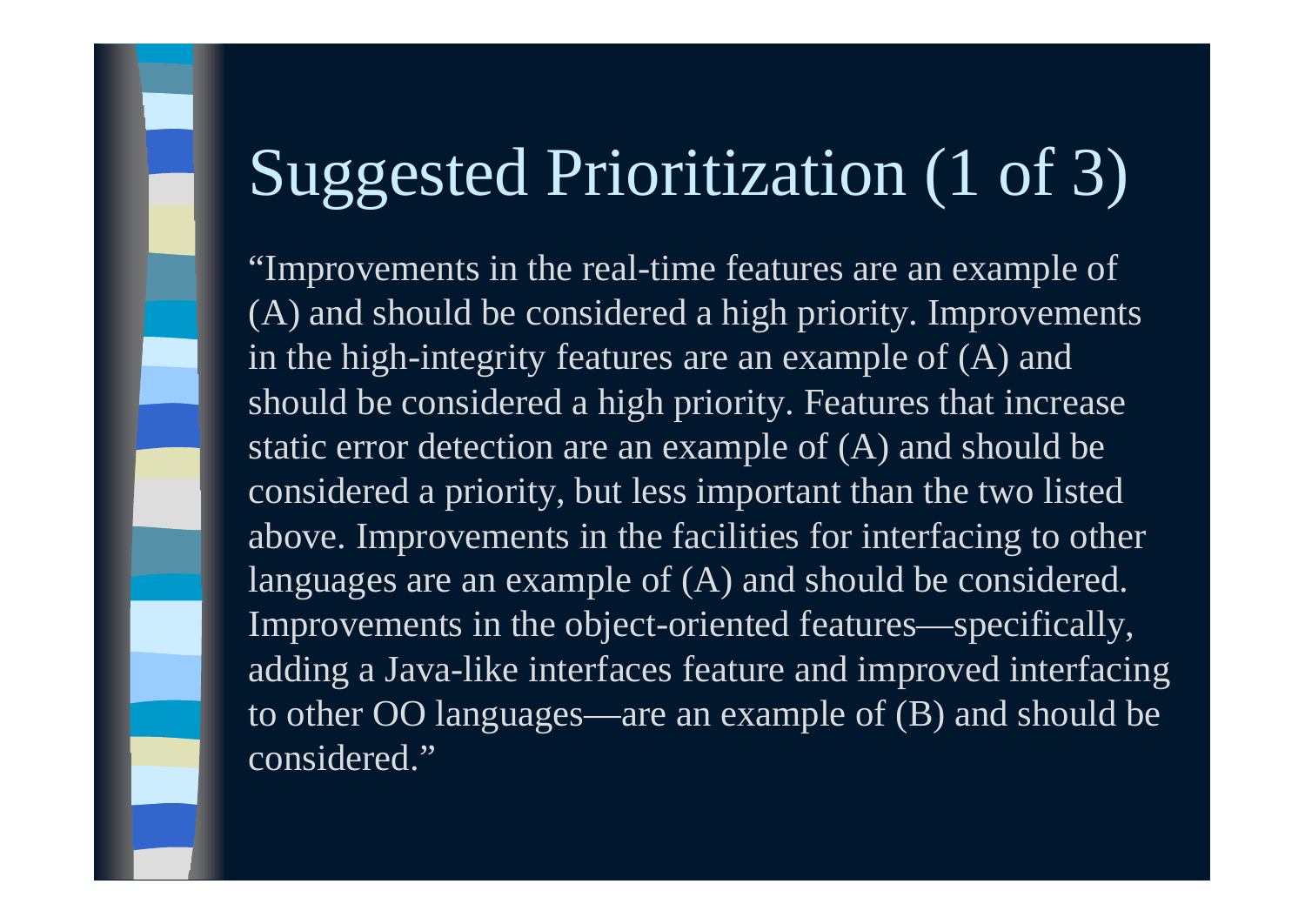# Suggested Prioritization (1 of 3)

"Improvements in the real-time features are an example of (A) and should be considered a high priority. Improvements in the high-integrity features are an example of (A) and should be considered a high priority. Features that increase static error detection are an example of (A) and should be considered a priority, but less important than the two listed above. Improvements in the facilities for interfacing to other languages are an example of (A) and should be considered. Improvements in the object-oriented features—specifically, adding a Java-like interfaces feature and improved interfacing to other OO languages—are an example of (B) and should be considered."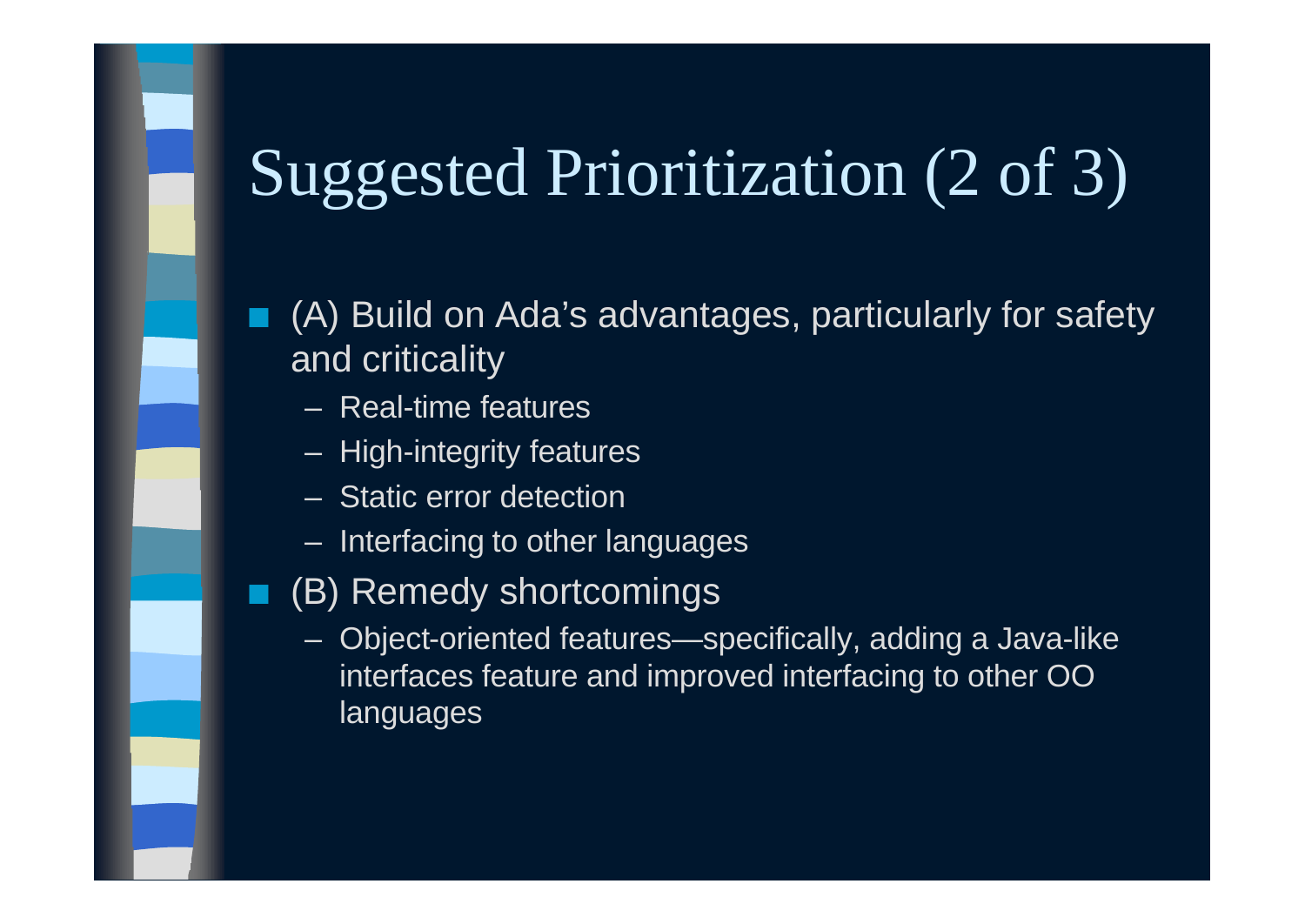# Suggested Prioritization (2 of 3)

#### (A) Build on Ada's advantages, particularly for safety and criticality

- Real-time features
- High-integrity features
- Static error detection
- Interfacing to other languages
- (B) Remedy shortcomings
	- Object-oriented features—specifically, adding a Java-like interfaces feature and improved interfacing to other OO languages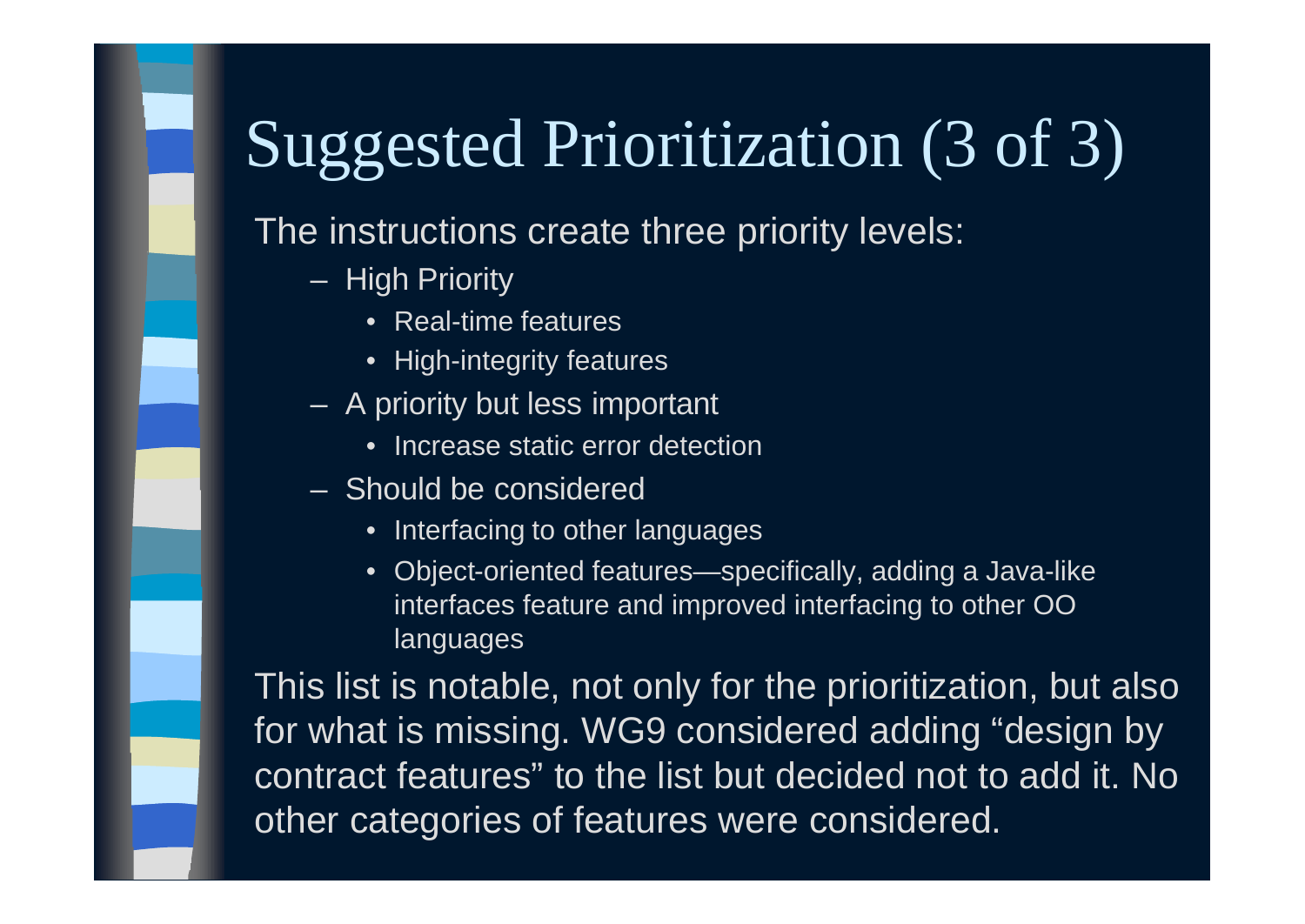# Suggested Prioritization (3 of 3)

#### The instructions create three priority levels:

- High Priority
	- Real-time features
	- High-integrity features
- A priority but less important
	- Increase static error detection
- Should be considered
	- Interfacing to other languages
	- Object-oriented features—specifically, adding a Java-like interfaces feature and improved interfacing to other OO languages

This list is notable, not only for the prioritization, but also for what is missing. WG9 considered adding "design by contract features" to the list but decided not to add it. No other categories of features were considered.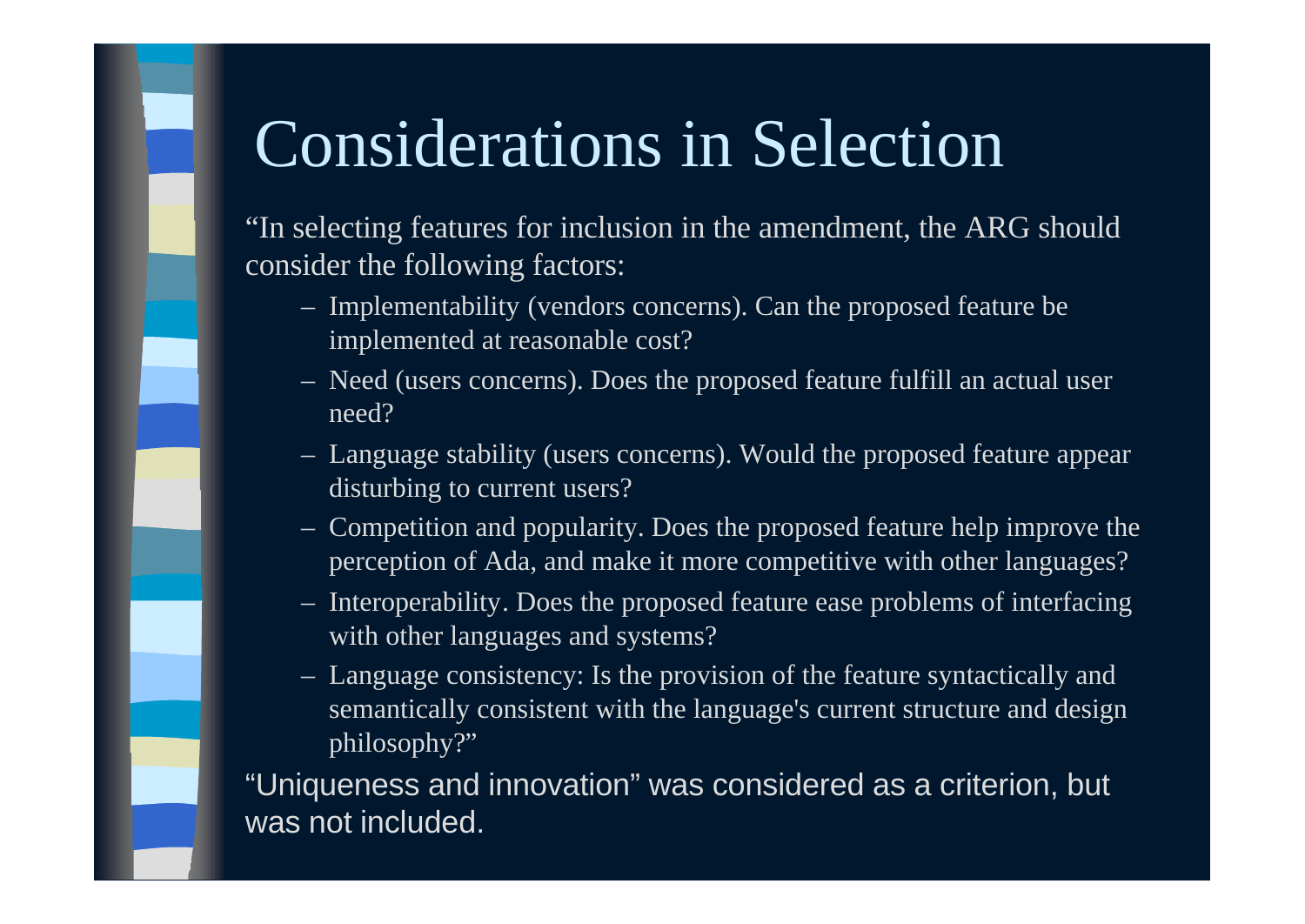## Considerations in Selection

"In selecting features for inclusion in the amendment, the ARG should consider the following factors:

- Implementability (vendors concerns). Can the proposed feature be implemented at reasonable cost?
- Need (users concerns). Does the proposed feature fulfill an actual user need?
- Language stability (users concerns). Would the proposed feature appear disturbing to current users?
- Competition and popularity. Does the proposed feature help improve the perception of Ada, and make it more competitive with other languages?
- Interoperability. Does the proposed feature ease problems of interfacing with other languages and systems?
- Language consistency: Is the provision of the feature syntactically and semantically consistent with the language's current structure and design philosophy?"

"Uniqueness and innovation" was considered as a criterion, but was not included.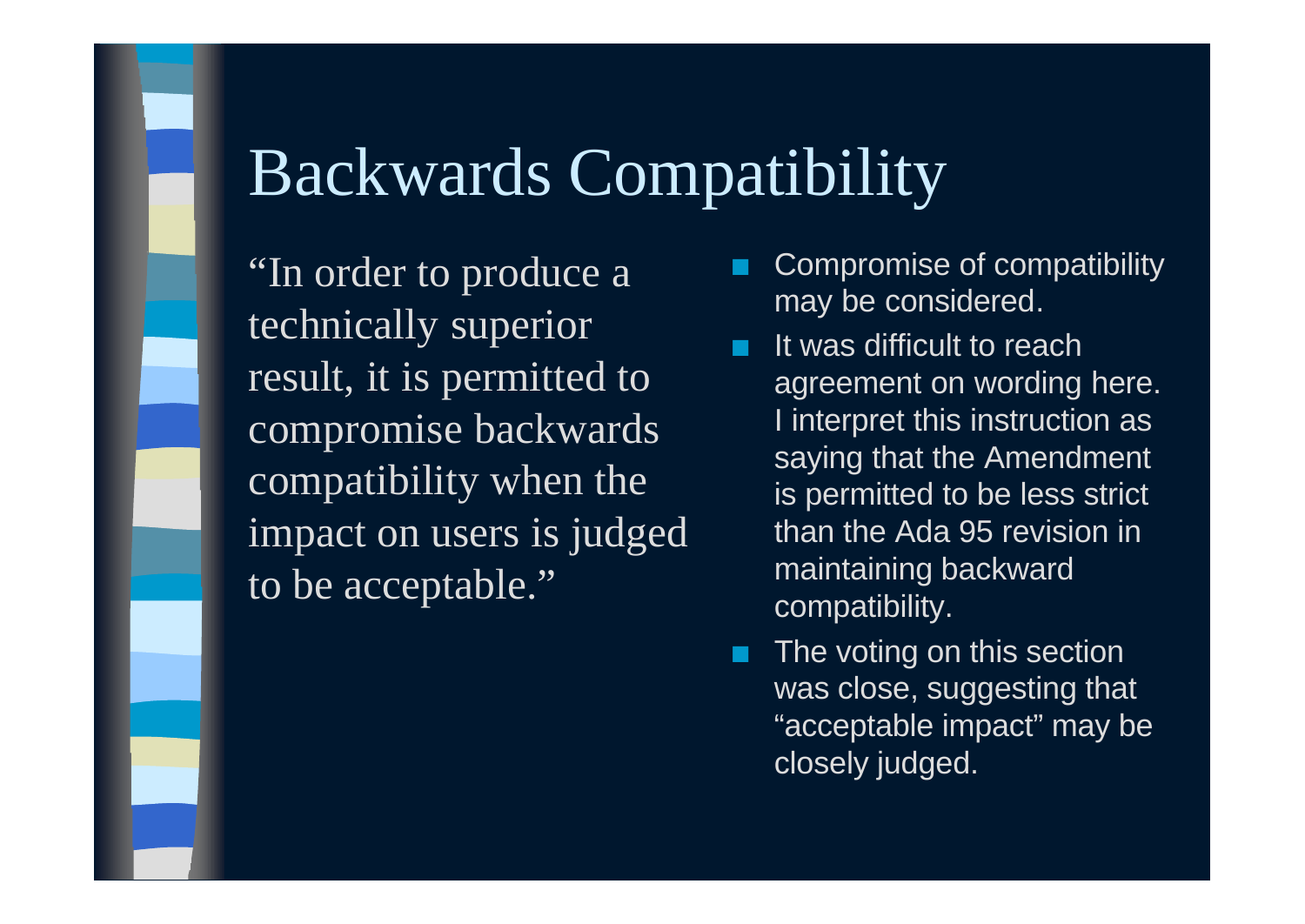### Backwards Compatibility

"In order to produce a technically superior result, it is permitted to compromise backwards compatibility when the impact on users is judged to be acceptable."

- Compromise of compatibility may be considered.
- It was difficult to reach agreement on wording here. I interpret this instruction as saying that the Amendment is permitted to be less strict than the Ada 95 revision in maintaining backward compatibility.
- The voting on this section was close, suggesting that "acceptable impact" may be closely judged.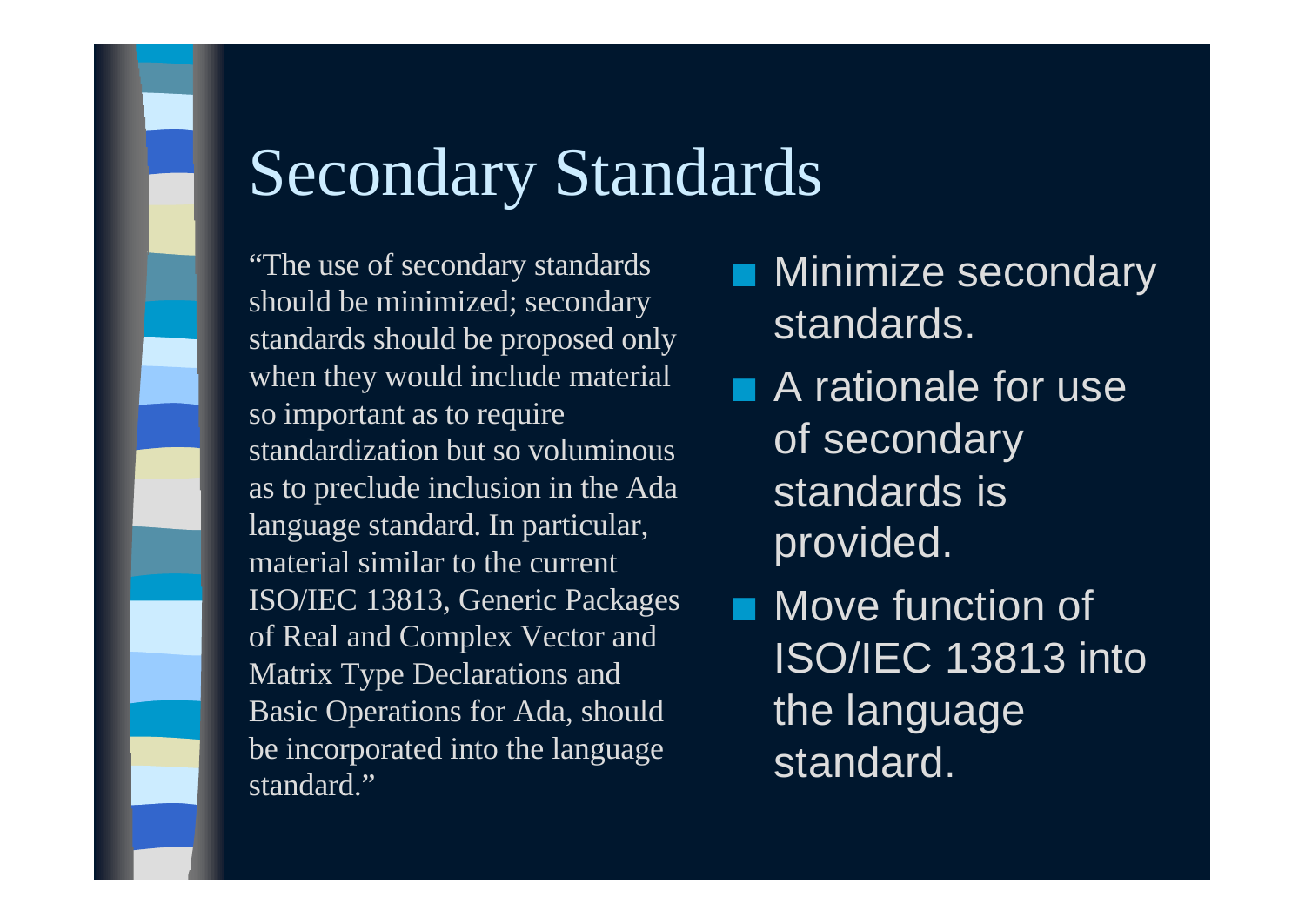## Secondary Standards

"The use of secondary standards should be minimized; secondary standards should be proposed only when they would include material so important as to require standardization but so voluminous as to preclude inclusion in the Ada language standard. In particular, material similar to the current ISO/IEC 13813, Generic Packages of Real and Complex Vector and Matrix Type Declarations and Basic Operations for Ada, should be incorporated into the language standard."

- Minimize secondary standards.
- **n** A rationale for use of secondary standards is provided.
- Move function of ISO/IEC 13813 into the language standard.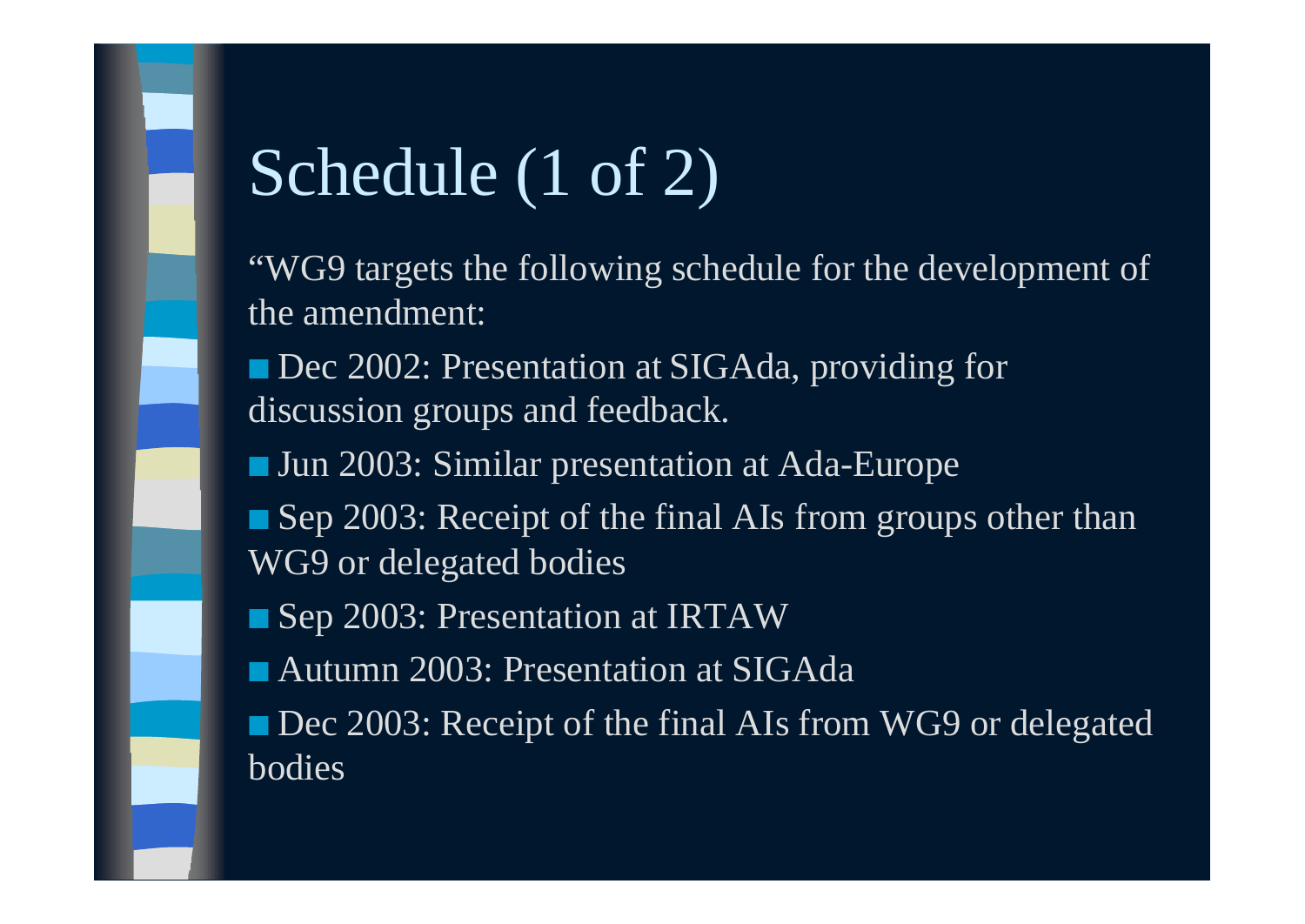# Schedule (1 of 2)

"WG9 targets the following schedule for the development of the amendment:

■ Dec 2002: Presentation at SIGAda, providing for discussion groups and feedback.

■ Jun 2003: Similar presentation at Ada-Europe

■ Sep 2003: Receipt of the final AIs from groups other than WG9 or delegated bodies

■ Sep 2003: Presentation at IRTAW

■ Autumn 2003: Presentation at SIGAda

■ Dec 2003: Receipt of the final AIs from WG9 or delegated bodies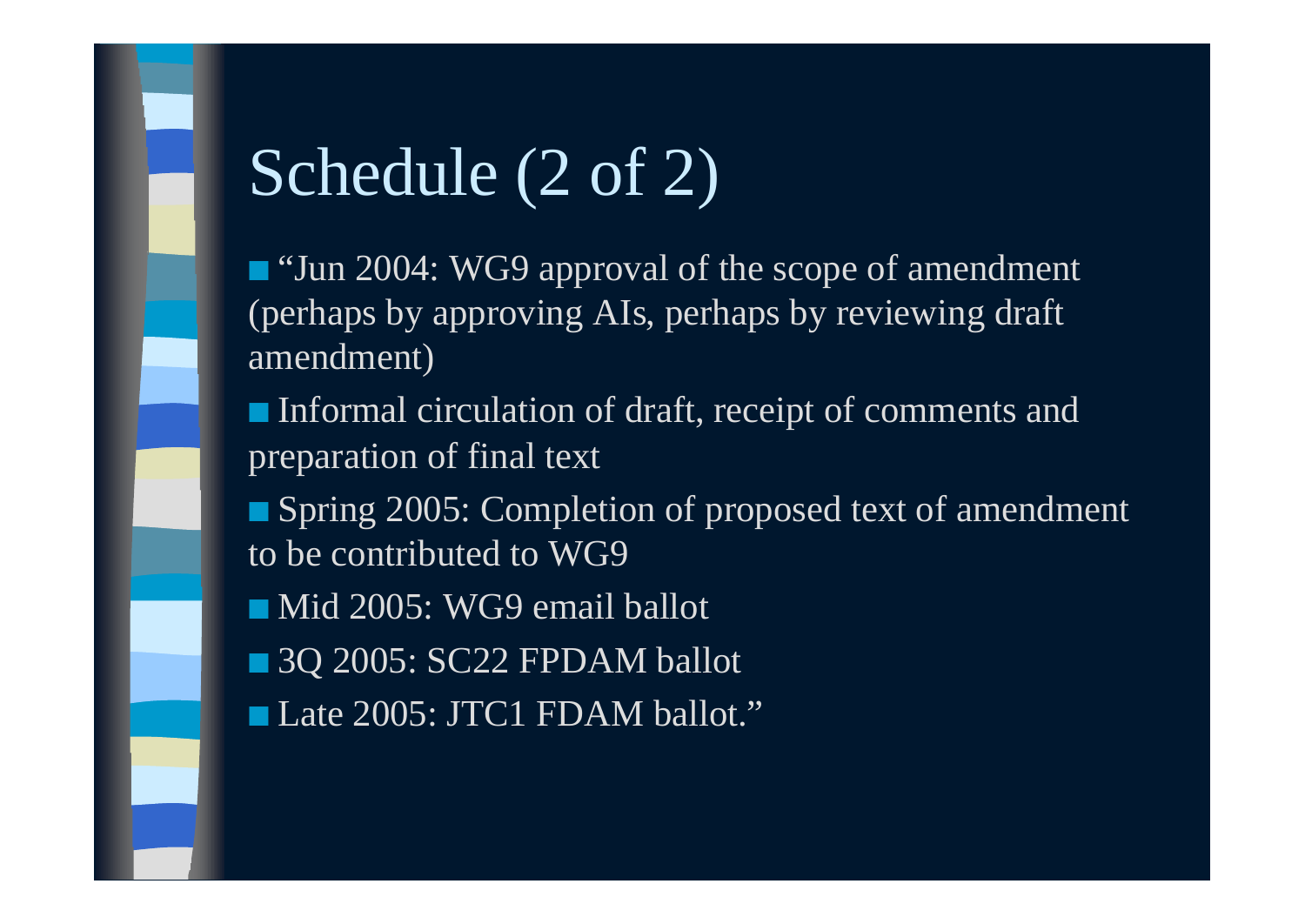## Schedule (2 of 2)

■ "Jun 2004: WG9 approval of the scope of amendment (perhaps by approving AIs, perhaps by reviewing draft amendment)

■ Informal circulation of draft, receipt of comments and preparation of final text

■ Spring 2005: Completion of proposed text of amendment to be contributed to WG9

■ Mid 2005: WG9 email ballot

■ 3Q 2005: SC22 FPDAM ballot

■ Late 2005: JTC1 FDAM ballot."